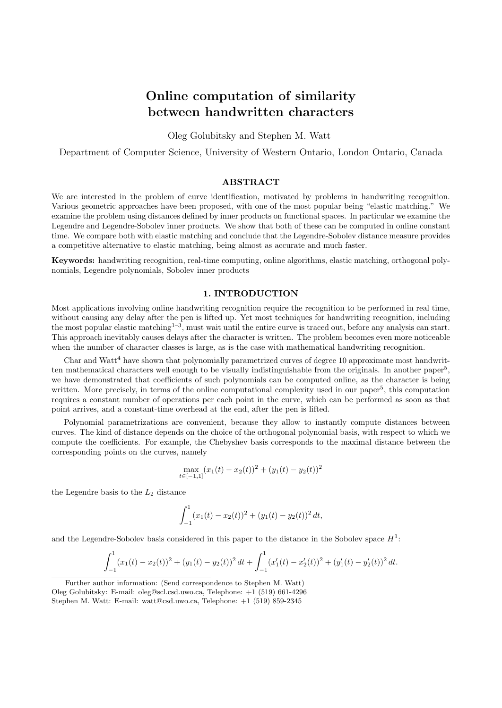# Online computation of similarity between handwritten characters

Oleg Golubitsky and Stephen M. Watt

Department of Computer Science, University of Western Ontario, London Ontario, Canada

## ABSTRACT

We are interested in the problem of curve identification, motivated by problems in handwriting recognition. Various geometric approaches have been proposed, with one of the most popular being "elastic matching." We examine the problem using distances defined by inner products on functional spaces. In particular we examine the Legendre and Legendre-Sobolev inner products. We show that both of these can be computed in online constant time. We compare both with elastic matching and conclude that the Legendre-Sobolev distance measure provides a competitive alternative to elastic matching, being almost as accurate and much faster.

Keywords: handwriting recognition, real-time computing, online algorithms, elastic matching, orthogonal polynomials, Legendre polynomials, Sobolev inner products

# 1. INTRODUCTION

Most applications involving online handwriting recognition require the recognition to be performed in real time, without causing any delay after the pen is lifted up. Yet most techniques for handwriting recognition, including the most popular elastic matching<sup>1-3</sup>, must wait until the entire curve is traced out, before any analysis can start. This approach inevitably causes delays after the character is written. The problem becomes even more noticeable when the number of character classes is large, as is the case with mathematical handwriting recognition.

Char and Watt<sup>4</sup> have shown that polynomially parametrized curves of degree 10 approximate most handwritten mathematical characters well enough to be visually indistinguishable from the originals. In another paper<sup>5</sup>, we have demonstrated that coefficients of such polynomials can be computed online, as the character is being written. More precisely, in terms of the online computational complexity used in our paper<sup>5</sup>, this computation requires a constant number of operations per each point in the curve, which can be performed as soon as that point arrives, and a constant-time overhead at the end, after the pen is lifted.

Polynomial parametrizations are convenient, because they allow to instantly compute distances between curves. The kind of distance depends on the choice of the orthogonal polynomial basis, with respect to which we compute the coefficients. For example, the Chebyshev basis corresponds to the maximal distance between the corresponding points on the curves, namely

$$
\max_{t \in [-1,1]} (x_1(t) - x_2(t))^2 + (y_1(t) - y_2(t))^2
$$

the Legendre basis to the  $L_2$  distance

$$
\int_{-1}^{1} (x_1(t) - x_2(t))^2 + (y_1(t) - y_2(t))^2 dt,
$$

and the Legendre-Sobolev basis considered in this paper to the distance in the Sobolev space  $H<sup>1</sup>$ :

$$
\int_{-1}^{1} (x_1(t) - x_2(t))^2 + (y_1(t) - y_2(t))^2 dt + \int_{-1}^{1} (x_1'(t) - x_2'(t))^2 + (y_1'(t) - y_2'(t))^2 dt.
$$

Further author information: (Send correspondence to Stephen M. Watt)

Oleg Golubitsky: E-mail: oleg@scl.csd.uwo.ca, Telephone: +1 (519) 661-4296

Stephen M. Watt: E-mail: watt@csd.uwo.ca, Telephone: +1 (519) 859-2345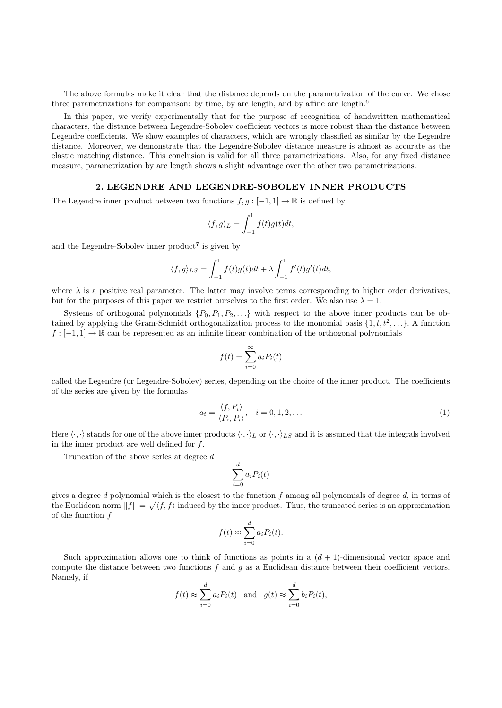The above formulas make it clear that the distance depends on the parametrization of the curve. We chose three parametrizations for comparison: by time, by arc length, and by affine arc length.<sup>6</sup>

In this paper, we verify experimentally that for the purpose of recognition of handwritten mathematical characters, the distance between Legendre-Sobolev coefficient vectors is more robust than the distance between Legendre coefficients. We show examples of characters, which are wrongly classified as similar by the Legendre distance. Moreover, we demonstrate that the Legendre-Sobolev distance measure is almost as accurate as the elastic matching distance. This conclusion is valid for all three parametrizations. Also, for any fixed distance measure, parametrization by arc length shows a slight advantage over the other two parametrizations.

# 2. LEGENDRE AND LEGENDRE-SOBOLEV INNER PRODUCTS

The Legendre inner product between two functions  $f, g : [-1, 1] \to \mathbb{R}$  is defined by

$$
\langle f, g \rangle_L = \int_{-1}^1 f(t)g(t)dt,
$$

and the Legendre-Sobolev inner product<sup>7</sup> is given by

$$
\langle f, g \rangle_{LS} = \int_{-1}^{1} f(t)g(t)dt + \lambda \int_{-1}^{1} f'(t)g'(t)dt,
$$

where  $\lambda$  is a positive real parameter. The latter may involve terms corresponding to higher order derivatives, but for the purposes of this paper we restrict ourselves to the first order. We also use  $\lambda = 1$ .

Systems of orthogonal polynomials  $\{P_0, P_1, P_2, \ldots\}$  with respect to the above inner products can be obtained by applying the Gram-Schmidt orthogonalization process to the monomial basis  $\{1, t, t^2, \ldots\}$ . A function  $f: [-1,1] \to \mathbb{R}$  can be represented as an infinite linear combination of the orthogonal polynomials

$$
f(t) = \sum_{i=0}^{\infty} a_i P_i(t)
$$

called the Legendre (or Legendre-Sobolev) series, depending on the choice of the inner product. The coefficients of the series are given by the formulas

$$
a_i = \frac{\langle f, P_i \rangle}{\langle P_i, P_i \rangle}, \quad i = 0, 1, 2, \dots
$$
\n(1)

Here  $\langle \cdot, \cdot \rangle$  stands for one of the above inner products  $\langle \cdot, \cdot \rangle_L$  or  $\langle \cdot, \cdot \rangle_L$  and it is assumed that the integrals involved in the inner product are well defined for  $f$ .

Truncation of the above series at degree d

$$
\sum_{i=0}^{d} a_i P_i(t)
$$

gives a degree d polynomial which is the closest to the function f among all polynomials of degree  $d$ , in terms of the Euclidean norm  $||f|| = \sqrt{\langle f, f \rangle}$  induced by the inner product. Thus, the truncated series is an approximation of the function f:

$$
f(t) \approx \sum_{i=0}^{d} a_i P_i(t).
$$

Such approximation allows one to think of functions as points in a  $(d+1)$ -dimensional vector space and compute the distance between two functions  $f$  and  $g$  as a Euclidean distance between their coefficient vectors. Namely, if

$$
f(t) \approx \sum_{i=0}^{d} a_i P_i(t)
$$
 and  $g(t) \approx \sum_{i=0}^{d} b_i P_i(t)$ ,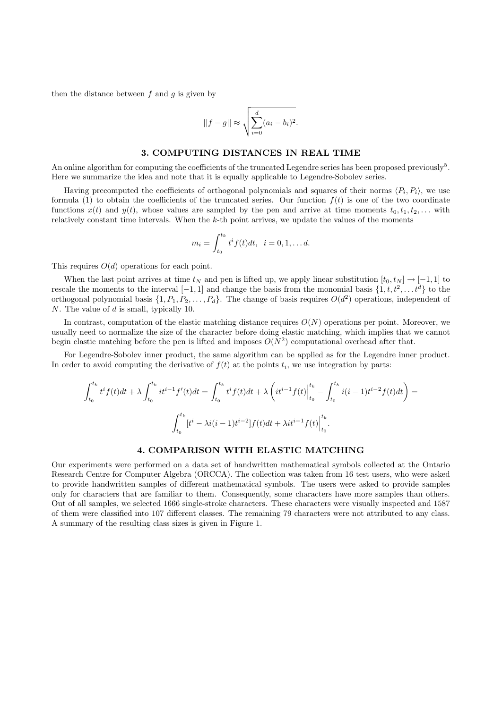then the distance between  $f$  and  $g$  is given by

$$
||f-g|| \approx \sqrt{\sum_{i=0}^d (a_i - b_i)^2}.
$$

# 3. COMPUTING DISTANCES IN REAL TIME

An online algorithm for computing the coefficients of the truncated Legendre series has been proposed previously<sup>5</sup>. Here we summarize the idea and note that it is equally applicable to Legendre-Sobolev series.

Having precomputed the coefficients of orthogonal polynomials and squares of their norms  $\langle P_i, P_i \rangle$ , we use formula (1) to obtain the coefficients of the truncated series. Our function  $f(t)$  is one of the two coordinate functions  $x(t)$  and  $y(t)$ , whose values are sampled by the pen and arrive at time moments  $t_0, t_1, t_2, \ldots$  with relatively constant time intervals. When the k-th point arrives, we update the values of the moments

$$
m_i = \int_{t_0}^{t_k} t^i f(t) dt, \ \ i = 0, 1, \dots d.
$$

This requires  $O(d)$  operations for each point.

When the last point arrives at time  $t_N$  and pen is lifted up, we apply linear substitution  $[t_0, t_N] \rightarrow [-1, 1]$  to rescale the moments to the interval  $[-1,1]$  and change the basis from the monomial basis  $\{1, t, t^2, \ldots t^d\}$  to the orthogonal polynomial basis  $\{1, P_1, P_2, \ldots, P_d\}$ . The change of basis requires  $O(d^2)$  operations, independent of N. The value of d is small, typically 10.

In contrast, computation of the elastic matching distance requires  $O(N)$  operations per point. Moreover, we usually need to normalize the size of the character before doing elastic matching, which implies that we cannot begin elastic matching before the pen is lifted and imposes  $O(N^2)$  computational overhead after that.

For Legendre-Sobolev inner product, the same algorithm can be applied as for the Legendre inner product. In order to avoid computing the derivative of  $f(t)$  at the points  $t_i$ , we use integration by parts:

$$
\int_{t_0}^{t_k} t^i f(t) dt + \lambda \int_{t_0}^{t_k} i t^{i-1} f'(t) dt = \int_{t_0}^{t_k} t^i f(t) dt + \lambda \left( i t^{i-1} f(t) \Big|_{t_0}^{t_k} - \int_{t_0}^{t_k} i (i-1) t^{i-2} f(t) dt \right) =
$$

$$
\int_{t_0}^{t_k} [t^i - \lambda i (i-1) t^{i-2}] f(t) dt + \lambda i t^{i-1} f(t) \Big|_{t_0}^{t_k}.
$$

# 4. COMPARISON WITH ELASTIC MATCHING

Our experiments were performed on a data set of handwritten mathematical symbols collected at the Ontario Research Centre for Computer Algebra (ORCCA). The collection was taken from 16 test users, who were asked to provide handwritten samples of different mathematical symbols. The users were asked to provide samples only for characters that are familiar to them. Consequently, some characters have more samples than others. Out of all samples, we selected 1666 single-stroke characters. These characters were visually inspected and 1587 of them were classified into 107 different classes. The remaining 79 characters were not attributed to any class. A summary of the resulting class sizes is given in Figure 1.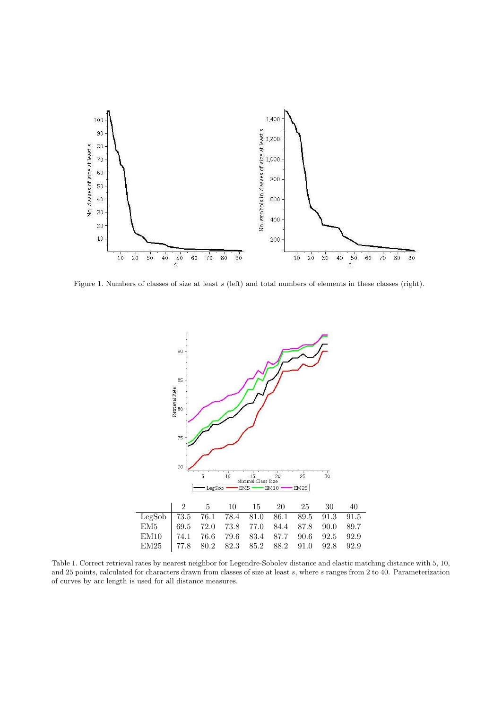

Figure 1. Numbers of classes of size at least s (left) and total numbers of elements in these classes (right).



Table 1. Correct retrieval rates by nearest neighbor for Legendre-Sobolev distance and elastic matching distance with 5, 10, and 25 points, calculated for characters drawn from classes of size at least s, where s ranges from 2 to 40. Parameterization of curves by arc length is used for all distance measures.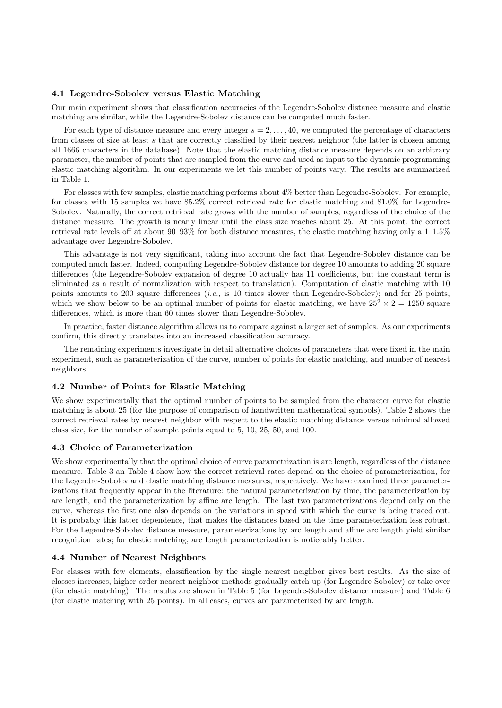# 4.1 Legendre-Sobolev versus Elastic Matching

Our main experiment shows that classification accuracies of the Legendre-Sobolev distance measure and elastic matching are similar, while the Legendre-Sobolev distance can be computed much faster.

For each type of distance measure and every integer  $s = 2, \ldots, 40$ , we computed the percentage of characters from classes of size at least s that are correctly classified by their nearest neighbor (the latter is chosen among all 1666 characters in the database). Note that the elastic matching distance measure depends on an arbitrary parameter, the number of points that are sampled from the curve and used as input to the dynamic programming elastic matching algorithm. In our experiments we let this number of points vary. The results are summarized in Table 1.

For classes with few samples, elastic matching performs about 4% better than Legendre-Sobolev. For example, for classes with 15 samples we have 85.2% correct retrieval rate for elastic matching and 81.0% for Legendre-Sobolev. Naturally, the correct retrieval rate grows with the number of samples, regardless of the choice of the distance measure. The growth is nearly linear until the class size reaches about 25. At this point, the correct retrieval rate levels off at about 90–93% for both distance measures, the elastic matching having only a 1–1.5% advantage over Legendre-Sobolev.

This advantage is not very significant, taking into account the fact that Legendre-Sobolev distance can be computed much faster. Indeed, computing Legendre-Sobolev distance for degree 10 amounts to adding 20 square differences (the Legendre-Sobolev expansion of degree 10 actually has 11 coefficients, but the constant term is eliminated as a result of normalization with respect to translation). Computation of elastic matching with 10 points amounts to 200 square differences (*i.e.*, is 10 times slower than Legendre-Sobolev); and for 25 points, which we show below to be an optimal number of points for elastic matching, we have  $25^2 \times 2 = 1250$  square differences, which is more than 60 times slower than Legendre-Sobolev.

In practice, faster distance algorithm allows us to compare against a larger set of samples. As our experiments confirm, this directly translates into an increased classification accuracy.

The remaining experiments investigate in detail alternative choices of parameters that were fixed in the main experiment, such as parameterization of the curve, number of points for elastic matching, and number of nearest neighbors.

# 4.2 Number of Points for Elastic Matching

We show experimentally that the optimal number of points to be sampled from the character curve for elastic matching is about 25 (for the purpose of comparison of handwritten mathematical symbols). Table 2 shows the correct retrieval rates by nearest neighbor with respect to the elastic matching distance versus minimal allowed class size, for the number of sample points equal to 5, 10, 25, 50, and 100.

#### 4.3 Choice of Parameterization

We show experimentally that the optimal choice of curve parametrization is arc length, regardless of the distance measure. Table 3 an Table 4 show how the correct retrieval rates depend on the choice of parameterization, for the Legendre-Sobolev and elastic matching distance measures, respectively. We have examined three parameterizations that frequently appear in the literature: the natural parameterization by time, the parameterization by arc length, and the parameterization by affine arc length. The last two parameterizations depend only on the curve, whereas the first one also depends on the variations in speed with which the curve is being traced out. It is probably this latter dependence, that makes the distances based on the time parameterization less robust. For the Legendre-Sobolev distance measure, parameterizations by arc length and affine arc length yield similar recognition rates; for elastic matching, arc length parameterization is noticeably better.

# 4.4 Number of Nearest Neighbors

For classes with few elements, classification by the single nearest neighbor gives best results. As the size of classes increases, higher-order nearest neighbor methods gradually catch up (for Legendre-Sobolev) or take over (for elastic matching). The results are shown in Table 5 (for Legendre-Sobolev distance measure) and Table 6 (for elastic matching with 25 points). In all cases, curves are parameterized by arc length.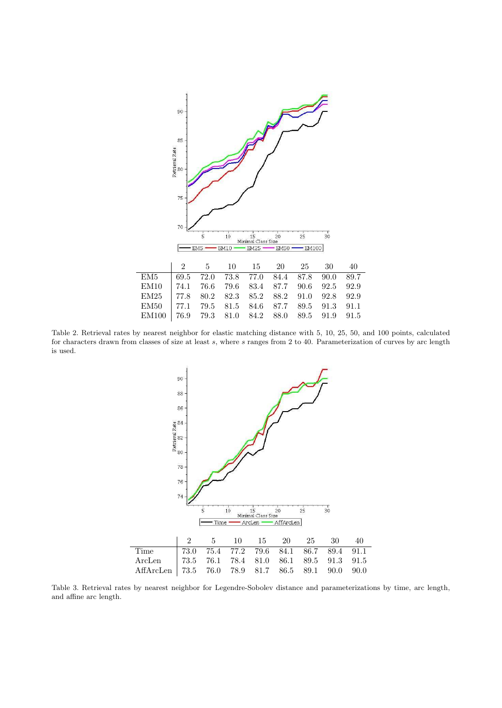

Table 2. Retrieval rates by nearest neighbor for elastic matching distance with 5, 10, 25, 50, and 100 points, calculated for characters drawn from classes of size at least s, where s ranges from 2 to 40. Parameterization of curves by arc length is used.



Table 3. Retrieval rates by nearest neighbor for Legendre-Sobolev distance and parameterizations by time, arc length, and affine arc length.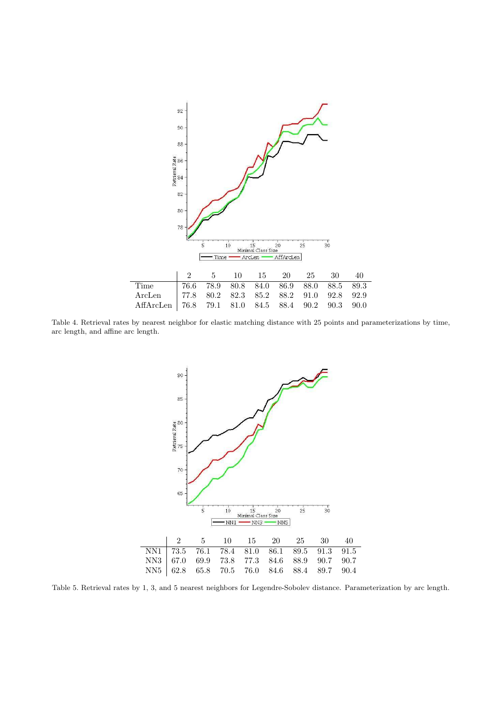

Table 4. Retrieval rates by nearest neighbor for elastic matching distance with 25 points and parameterizations by time, arc length, and affine arc length.



Table 5. Retrieval rates by 1, 3, and 5 nearest neighbors for Legendre-Sobolev distance. Parameterization by arc length.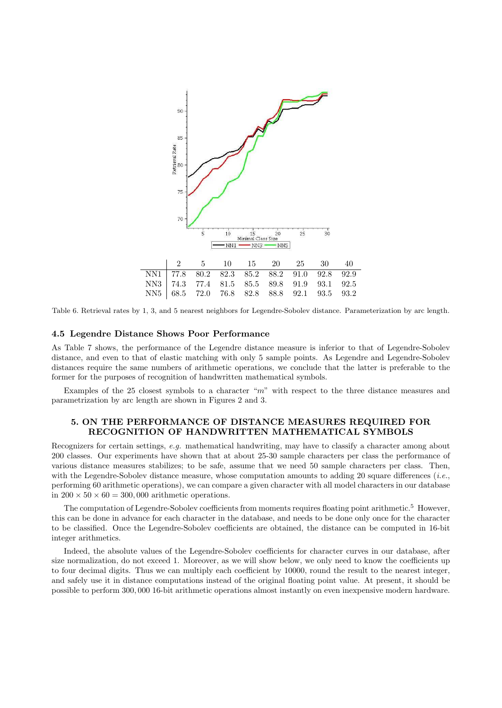

Table 6. Retrieval rates by 1, 3, and 5 nearest neighbors for Legendre-Sobolev distance. Parameterization by arc length.

#### 4.5 Legendre Distance Shows Poor Performance

As Table 7 shows, the performance of the Legendre distance measure is inferior to that of Legendre-Sobolev distance, and even to that of elastic matching with only 5 sample points. As Legendre and Legendre-Sobolev distances require the same numbers of arithmetic operations, we conclude that the latter is preferable to the former for the purposes of recognition of handwritten mathematical symbols.

Examples of the 25 closest symbols to a character " $m$ " with respect to the three distance measures and parametrization by arc length are shown in Figures 2 and 3.

# 5. ON THE PERFORMANCE OF DISTANCE MEASURES REQUIRED FOR RECOGNITION OF HANDWRITTEN MATHEMATICAL SYMBOLS

Recognizers for certain settings, e.g. mathematical handwriting, may have to classify a character among about 200 classes. Our experiments have shown that at about 25-30 sample characters per class the performance of various distance measures stabilizes; to be safe, assume that we need 50 sample characters per class. Then, with the Legendre-Sobolev distance measure, whose computation amounts to adding 20 square differences  $(i.e.,$ performing 60 arithmetic operations), we can compare a given character with all model characters in our database in  $200 \times 50 \times 60 = 300,000$  arithmetic operations.

The computation of Legendre-Sobolev coefficients from moments requires floating point arithmetic.<sup>5</sup> However, this can be done in advance for each character in the database, and needs to be done only once for the character to be classified. Once the Legendre-Sobolev coefficients are obtained, the distance can be computed in 16-bit integer arithmetics.

Indeed, the absolute values of the Legendre-Sobolev coefficients for character curves in our database, after size normalization, do not exceed 1. Moreover, as we will show below, we only need to know the coefficients up to four decimal digits. Thus we can multiply each coefficient by 10000, round the result to the nearest integer, and safely use it in distance computations instead of the original floating point value. At present, it should be possible to perform 300, 000 16-bit arithmetic operations almost instantly on even inexpensive modern hardware.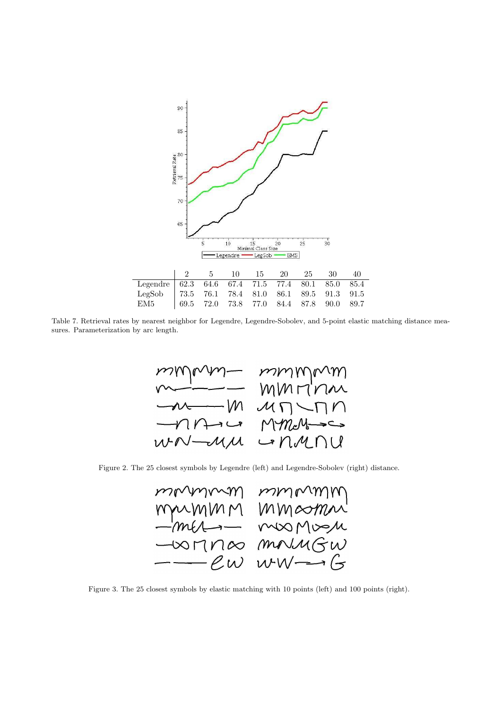

Table 7. Retrieval rates by nearest neighbor for Legendre, Legendre-Sobolev, and 5-point elastic matching distance measures. Parameterization by arc length.



Figure 2. The 25 closest symbols by Legendre (left) and Legendre-Sobolev (right) distance.



Figure 3. The 25 closest symbols by elastic matching with 10 points (left) and 100 points (right).